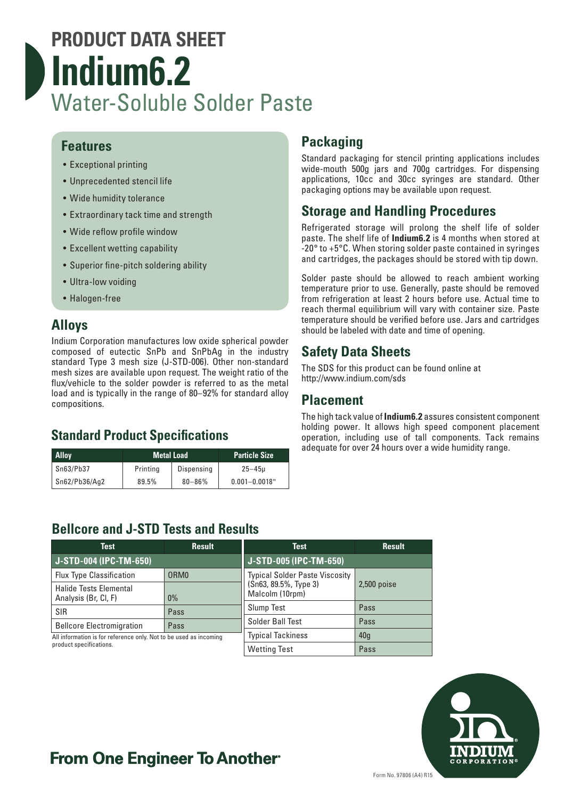## **PRODUCT DATA SHEET Indium6.2** Water-Soluble Solder Paste

### **Features**

- Exceptional printing
- Unprecedented stencil life
- Wide humidity tolerance
- Extraordinary tack time and strength
- Wide reflow profile window
- Excellent wetting capability
- Superior fine-pitch soldering ability
- Ultra-low voiding
- Halogen-free

### **Alloys**

Indium Corporation manufactures low oxide spherical powder composed of eutectic SnPb and SnPbAg in the industry standard Type 3 mesh size (J-STD-006). Other non-standard mesh sizes are available upon request. The weight ratio of the flux/vehicle to the solder powder is referred to as the metal load and is typically in the range of 80–92% for standard alloy compositions.

## **Standard Product Specifications**

| <b>Alloy</b>  | <b>Metal Load</b> |            | <b>Particle Size</b> |
|---------------|-------------------|------------|----------------------|
| Sn63/Pb37     | Printina          | Dispensing | $25 - 45u$           |
| Sn62/Pb36/Aq2 | 89.5%             | $80 - 86%$ | $0.001 - 0.0018"$    |

## **Packaging**

Standard packaging for stencil printing applications includes wide-mouth 500g jars and 700g cartridges. For dispensing applications, 10cc and 30cc syringes are standard. Other packaging options may be available upon request.

## **Storage and Handling Procedures**

Refrigerated storage will prolong the shelf life of solder paste. The shelf life of **Indium6.2** is 4 months when stored at -20° to +5°C. When storing solder paste contained in syringes and cartridges, the packages should be stored with tip down.

Solder paste should be allowed to reach ambient working temperature prior to use. Generally, paste should be removed from refrigeration at least 2 hours before use. Actual time to reach thermal equilibrium will vary with container size. Paste temperature should be verified before use. Jars and cartridges should be labeled with date and time of opening.

## **Safety Data Sheets**

The SDS for this product can be found online at http://www.indium.com/sds

### **Placement**

The high tack value of **Indium6.2** assures consistent component holding power. It allows high speed component placement operation, including use of tall components. Tack remains adequate for over 24 hours over a wide humidity range.

## **Bellcore and J-STD Tests and Results**

| <b>Test</b>                                                                                  | <b>Result</b>    | <b>Test</b>                              | <b>Result</b>   |
|----------------------------------------------------------------------------------------------|------------------|------------------------------------------|-----------------|
| J-STD-004 (IPC-TM-650)                                                                       |                  | J-STD-005 (IPC-TM-650)                   |                 |
| <b>Flux Type Classification</b>                                                              | ORM <sub>0</sub> | <b>Typical Solder Paste Viscosity</b>    | $2,500$ poise   |
| <b>Halide Tests Elemental</b><br>Analysis (Br, Cl, F)                                        | $0\%$            | (Sn63, 89.5%, Type 3)<br>Malcolm (10rpm) |                 |
| <b>SIR</b>                                                                                   | Pass             | <b>Slump Test</b>                        | Pass            |
| <b>Bellcore Electromigration</b>                                                             | Pass             | Solder Ball Test                         | Pass            |
| All information is for reference only. Not to be used as incoming<br>product specifications. |                  | <b>Typical Tackiness</b>                 | 40 <sub>g</sub> |
|                                                                                              |                  | <b>Wetting Test</b>                      | Pass            |



## **From One Engineer To Another**